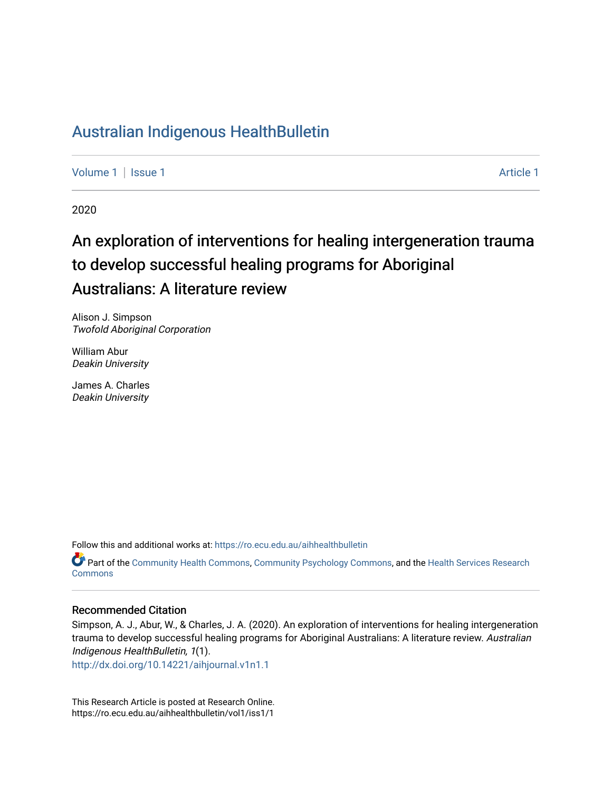## [Australian Indigenous HealthBulletin](https://ro.ecu.edu.au/aihhealthbulletin)

[Volume 1](https://ro.ecu.edu.au/aihhealthbulletin/vol1) | [Issue 1](https://ro.ecu.edu.au/aihhealthbulletin/vol1/iss1) Article 1

2020

# An exploration of interventions for healing intergeneration trauma to develop successful healing programs for Aboriginal Australians: A literature review

Alison J. Simpson Twofold Aboriginal Corporation

William Abur Deakin University

James A. Charles Deakin University

Follow this and additional works at: [https://ro.ecu.edu.au/aihhealthbulletin](https://ro.ecu.edu.au/aihhealthbulletin?utm_source=ro.ecu.edu.au%2Faihhealthbulletin%2Fvol1%2Fiss1%2F1&utm_medium=PDF&utm_campaign=PDFCoverPages) 

Part of the [Community Health Commons](https://network.bepress.com/hgg/discipline/714?utm_source=ro.ecu.edu.au%2Faihhealthbulletin%2Fvol1%2Fiss1%2F1&utm_medium=PDF&utm_campaign=PDFCoverPages), [Community Psychology Commons](https://network.bepress.com/hgg/discipline/409?utm_source=ro.ecu.edu.au%2Faihhealthbulletin%2Fvol1%2Fiss1%2F1&utm_medium=PDF&utm_campaign=PDFCoverPages), and the [Health Services Research](https://network.bepress.com/hgg/discipline/816?utm_source=ro.ecu.edu.au%2Faihhealthbulletin%2Fvol1%2Fiss1%2F1&utm_medium=PDF&utm_campaign=PDFCoverPages) **Commons** 

#### Recommended Citation

Simpson, A. J., Abur, W., & Charles, J. A. (2020). An exploration of interventions for healing intergeneration trauma to develop successful healing programs for Aboriginal Australians: A literature review. Australian Indigenous HealthBulletin, 1(1).

<http://dx.doi.org/10.14221/aihjournal.v1n1.1>

This Research Article is posted at Research Online. https://ro.ecu.edu.au/aihhealthbulletin/vol1/iss1/1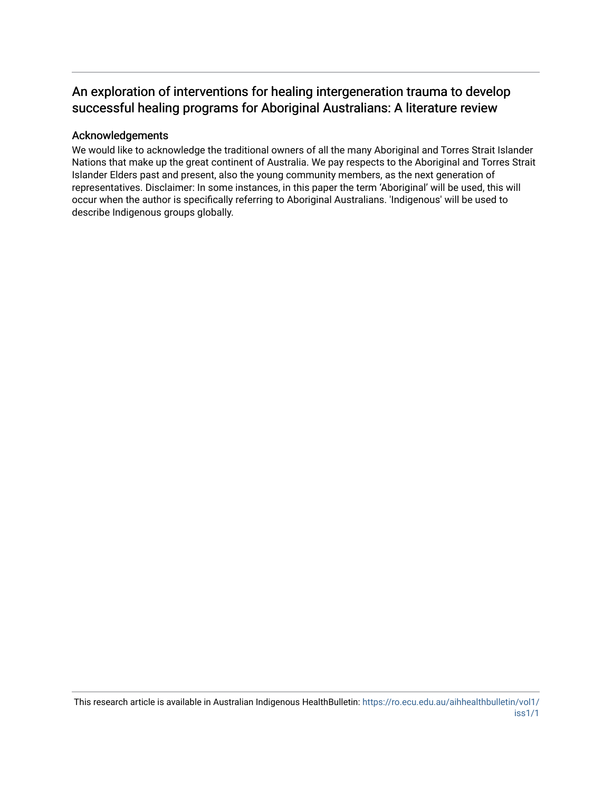## An exploration of interventions for healing intergeneration trauma to develop successful healing programs for Aboriginal Australians: A literature review

#### Acknowledgements

We would like to acknowledge the traditional owners of all the many Aboriginal and Torres Strait Islander Nations that make up the great continent of Australia. We pay respects to the Aboriginal and Torres Strait Islander Elders past and present, also the young community members, as the next generation of representatives. Disclaimer: In some instances, in this paper the term 'Aboriginal' will be used, this will occur when the author is specifically referring to Aboriginal Australians. 'Indigenous' will be used to describe Indigenous groups globally.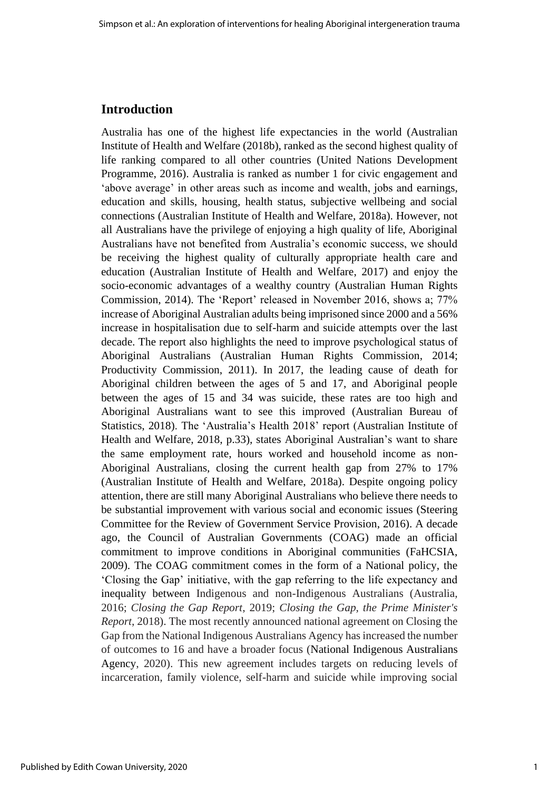#### **Introduction**

Australia has one of the highest life expectancies in the world (Australian Institute of Health and Welfare (2018b), ranked as the second highest quality of life ranking compared to all other countries (United Nations Development Programme, 2016). Australia is ranked as number 1 for civic engagement and 'above average' in other areas such as income and wealth, jobs and earnings, education and skills, housing, health status, subjective wellbeing and social connections (Australian Institute of Health and Welfare, 2018a). However, not all Australians have the privilege of enjoying a high quality of life, Aboriginal Australians have not benefited from Australia's economic success, we should be receiving the highest quality of culturally appropriate health care and education (Australian Institute of Health and Welfare, 2017) and enjoy the socio-economic advantages of a wealthy country (Australian Human Rights Commission, 2014). The 'Report' released in November 2016, shows a; 77% increase of Aboriginal Australian adults being imprisoned since 2000 and a 56% increase in hospitalisation due to self-harm and suicide attempts over the last decade. The report also highlights the need to improve psychological status of Aboriginal Australians (Australian Human Rights Commission, 2014; Productivity Commission, 2011). In 2017, the leading cause of death for Aboriginal children between the ages of 5 and 17, and Aboriginal people between the ages of 15 and 34 was suicide, these rates are too high and Aboriginal Australians want to see this improved (Australian Bureau of Statistics, 2018). The 'Australia's Health 2018' report (Australian Institute of Health and Welfare, 2018, p.33), states Aboriginal Australian's want to share the same employment rate, hours worked and household income as non-Aboriginal Australians, closing the current health gap from 27% to 17% (Australian Institute of Health and Welfare, 2018a). Despite ongoing policy attention, there are still many Aboriginal Australians who believe there needs to be substantial improvement with various social and economic issues (Steering Committee for the Review of Government Service Provision, 2016). A decade ago, the Council of Australian Governments (COAG) made an official commitment to improve conditions in Aboriginal communities (FaHCSIA, 2009). The COAG commitment comes in the form of a National policy, the 'Closing the Gap' initiative, with the gap referring to the life expectancy and inequality between Indigenous and non-Indigenous Australians (Australia, 2016; *Closing the Gap Report*, 2019; *Closing the Gap, the Prime Minister's Report*, 2018). The most recently announced national agreement on Closing the Gap from the National Indigenous Australians Agency has increased the number of outcomes to 16 and have a broader focus (National Indigenous Australians Agency, 2020). This new agreement includes targets on reducing levels of incarceration, family violence, self-harm and suicide while improving social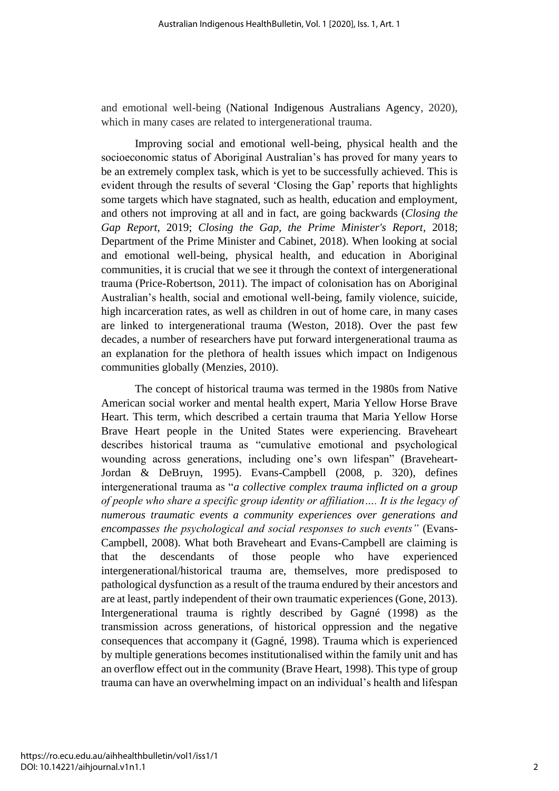and emotional well-being (National Indigenous Australians Agency, 2020), which in many cases are related to intergenerational trauma.

Improving social and emotional well-being, physical health and the socioeconomic status of Aboriginal Australian's has proved for many years to be an extremely complex task, which is yet to be successfully achieved. This is evident through the results of several 'Closing the Gap' reports that highlights some targets which have stagnated, such as health, education and employment, and others not improving at all and in fact, are going backwards (*Closing the Gap Report*, 2019; *Closing the Gap, the Prime Minister's Report*, 2018; Department of the Prime Minister and Cabinet, 2018). When looking at social and emotional well-being, physical health, and education in Aboriginal communities, it is crucial that we see it through the context of intergenerational trauma (Price-Robertson, 2011). The impact of colonisation has on Aboriginal Australian's health, social and emotional well-being, family violence, suicide, high incarceration rates, as well as children in out of home care, in many cases are linked to intergenerational trauma (Weston, 2018). Over the past few decades, a number of researchers have put forward intergenerational trauma as an explanation for the plethora of health issues which impact on Indigenous communities globally (Menzies, 2010).

The concept of historical trauma was termed in the 1980s from Native American social worker and mental health expert, Maria Yellow Horse Brave Heart. This term, which described a certain trauma that Maria Yellow Horse Brave Heart people in the United States were experiencing. Braveheart describes historical trauma as "cumulative emotional and psychological wounding across generations, including one's own lifespan" (Braveheart-Jordan & DeBruyn, 1995). Evans-Campbell (2008, p. 320), defines intergenerational trauma as "*a collective complex trauma inflicted on a group of people who share a specific group identity or affiliation…. It is the legacy of numerous traumatic events a community experiences over generations and encompasses the psychological and social responses to such events"* (Evans-Campbell, 2008). What both Braveheart and Evans-Campbell are claiming is that the descendants of those people who have experienced intergenerational/historical trauma are, themselves, more predisposed to pathological dysfunction as a result of the trauma endured by their ancestors and are at least, partly independent of their own traumatic experiences (Gone, 2013). Intergenerational trauma is rightly described by Gagné (1998) as the transmission across generations, of historical oppression and the negative consequences that accompany it (Gagné, 1998). Trauma which is experienced by multiple generations becomes institutionalised within the family unit and has an overflow effect out in the community (Brave Heart, 1998). This type of group trauma can have an overwhelming impact on an individual's health and lifespan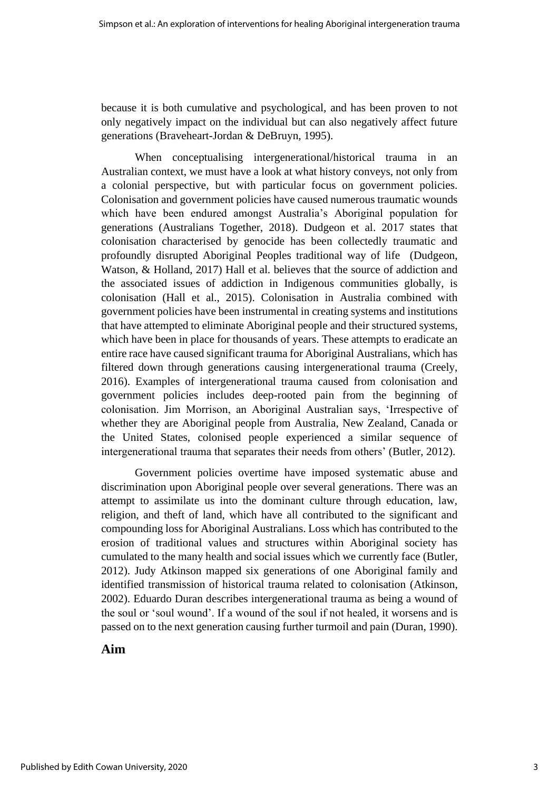because it is both cumulative and psychological, and has been proven to not only negatively impact on the individual but can also negatively affect future generations (Braveheart-Jordan & DeBruyn, 1995).

When conceptualising intergenerational/historical trauma in an Australian context, we must have a look at what history conveys, not only from a colonial perspective, but with particular focus on government policies. Colonisation and government policies have caused numerous traumatic wounds which have been endured amongst Australia's Aboriginal population for generations (Australians Together, 2018). Dudgeon et al. 2017 states that colonisation characterised by genocide has been collectedly traumatic and profoundly disrupted Aboriginal Peoples traditional way of life (Dudgeon, Watson, & Holland, 2017) Hall et al. believes that the source of addiction and the associated issues of addiction in Indigenous communities globally, is colonisation (Hall et al., 2015). Colonisation in Australia combined with government policies have been instrumental in creating systems and institutions that have attempted to eliminate Aboriginal people and their structured systems, which have been in place for thousands of years. These attempts to eradicate an entire race have caused significant trauma for Aboriginal Australians, which has filtered down through generations causing intergenerational trauma (Creely, 2016). Examples of intergenerational trauma caused from colonisation and government policies includes deep-rooted pain from the beginning of colonisation. Jim Morrison, an Aboriginal Australian says, 'Irrespective of whether they are Aboriginal people from Australia, New Zealand, Canada or the United States, colonised people experienced a similar sequence of intergenerational trauma that separates their needs from others' (Butler, 2012).

Government policies overtime have imposed systematic abuse and discrimination upon Aboriginal people over several generations. There was an attempt to assimilate us into the dominant culture through education, law, religion, and theft of land, which have all contributed to the significant and compounding loss for Aboriginal Australians. Loss which has contributed to the erosion of traditional values and structures within Aboriginal society has cumulated to the many health and social issues which we currently face (Butler, 2012). Judy Atkinson mapped six generations of one Aboriginal family and identified transmission of historical trauma related to colonisation (Atkinson, 2002). Eduardo Duran describes intergenerational trauma as being a wound of the soul or 'soul wound'. If a wound of the soul if not healed, it worsens and is passed on to the next generation causing further turmoil and pain (Duran, 1990).

#### **Aim**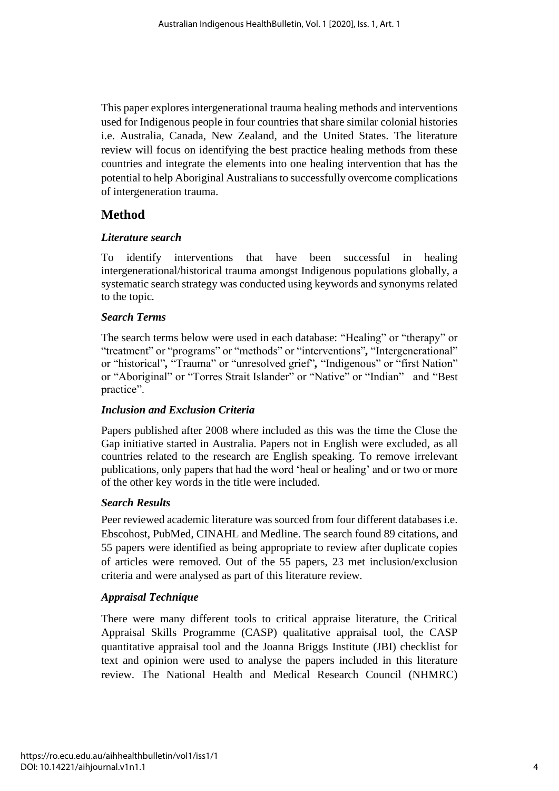This paper explores intergenerational trauma healing methods and interventions used for Indigenous people in four countries that share similar colonial histories i.e. Australia, Canada, New Zealand, and the United States. The literature review will focus on identifying the best practice healing methods from these countries and integrate the elements into one healing intervention that has the potential to help Aboriginal Australians to successfully overcome complications of intergeneration trauma.

## **Method**

#### *Literature search*

To identify interventions that have been successful in healing intergenerational/historical trauma amongst Indigenous populations globally, a systematic search strategy was conducted using keywords and synonyms related to the topic*.*

#### *Search Terms*

The search terms below were used in each database: "Healing" or "therapy" or "treatment" or "programs" or "methods" or "interventions"*,* "Intergenerational" or "historical"*,* "Trauma" or "unresolved grief"*,* "Indigenous" or "first Nation" or "Aboriginal" or "Torres Strait Islander" or "Native" or "Indian" and "Best practice".

#### *Inclusion and Exclusion Criteria*

Papers published after 2008 where included as this was the time the Close the Gap initiative started in Australia. Papers not in English were excluded, as all countries related to the research are English speaking. To remove irrelevant publications, only papers that had the word 'heal or healing' and or two or more of the other key words in the title were included.

#### *Search Results*

Peer reviewed academic literature was sourced from four different databases i.e. Ebscohost, PubMed, CINAHL and Medline. The search found 89 citations, and 55 papers were identified as being appropriate to review after duplicate copies of articles were removed. Out of the 55 papers, 23 met inclusion/exclusion criteria and were analysed as part of this literature review*.* 

#### *Appraisal Technique*

There were many different tools to critical appraise literature, the Critical Appraisal Skills Programme (CASP) qualitative appraisal tool, the CASP quantitative appraisal tool and the Joanna Briggs Institute (JBI) checklist for text and opinion were used to analyse the papers included in this literature review. The National Health and Medical Research Council (NHMRC)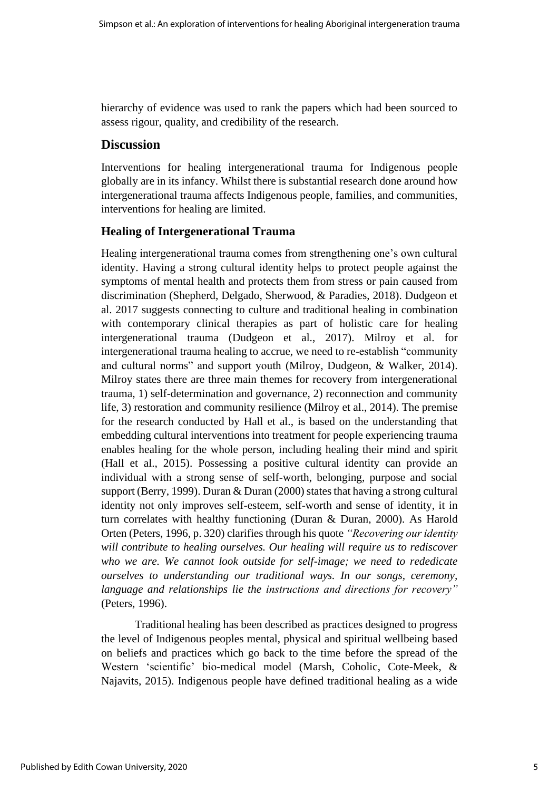hierarchy of evidence was used to rank the papers which had been sourced to assess rigour, quality, and credibility of the research.

#### **Discussion**

Interventions for healing intergenerational trauma for Indigenous people globally are in its infancy. Whilst there is substantial research done around how intergenerational trauma affects Indigenous people, families, and communities, interventions for healing are limited.

#### **Healing of Intergenerational Trauma**

Healing intergenerational trauma comes from strengthening one's own cultural identity. Having a strong cultural identity helps to protect people against the symptoms of mental health and protects them from stress or pain caused from discrimination (Shepherd, Delgado, Sherwood, & Paradies, 2018). Dudgeon et al. 2017 suggests connecting to culture and traditional healing in combination with contemporary clinical therapies as part of holistic care for healing intergenerational trauma (Dudgeon et al., 2017). Milroy et al. for intergenerational trauma healing to accrue, we need to re-establish "community and cultural norms" and support youth (Milroy, Dudgeon, & Walker, 2014). Milroy states there are three main themes for recovery from intergenerational trauma, 1) self-determination and governance, 2) reconnection and community life, 3) restoration and community resilience (Milroy et al., 2014). The premise for the research conducted by Hall et al., is based on the understanding that embedding cultural interventions into treatment for people experiencing trauma enables healing for the whole person, including healing their mind and spirit (Hall et al., 2015). Possessing a positive cultural identity can provide an individual with a strong sense of self-worth, belonging, purpose and social support (Berry, 1999). Duran & Duran (2000) states that having a strong cultural identity not only improves self-esteem, self-worth and sense of identity, it in turn correlates with healthy functioning (Duran & Duran, 2000). As Harold Orten (Peters, 1996, p. 320) clarifies through his quote *"Recovering our identity will contribute to healing ourselves. Our healing will require us to rediscover who we are. We cannot look outside for self-image; we need to rededicate ourselves to understanding our traditional ways. In our songs, ceremony, language and relationships lie the instructions and directions for recovery"* (Peters, 1996).

Traditional healing has been described as practices designed to progress the level of Indigenous peoples mental, physical and spiritual wellbeing based on beliefs and practices which go back to the time before the spread of the Western 'scientific' bio-medical model (Marsh, Coholic, Cote-Meek, & Najavits, 2015). Indigenous people have defined traditional healing as a wide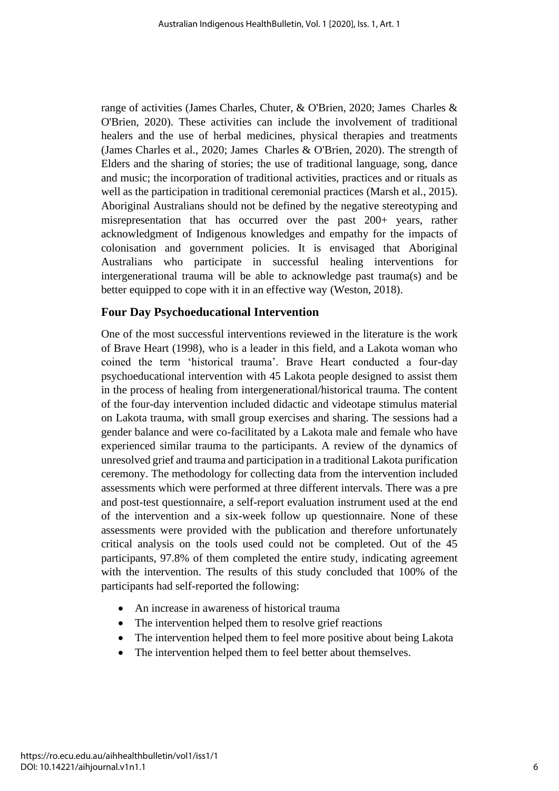range of activities (James Charles, Chuter, & O'Brien, 2020; James Charles & O'Brien, 2020). These activities can include the involvement of traditional healers and the use of herbal medicines, physical therapies and treatments (James Charles et al., 2020; James Charles & O'Brien, 2020). The strength of Elders and the sharing of stories; the use of traditional language, song, dance and music; the incorporation of traditional activities, practices and or rituals as well as the participation in traditional ceremonial practices (Marsh et al., 2015). Aboriginal Australians should not be defined by the negative stereotyping and misrepresentation that has occurred over the past 200+ years, rather acknowledgment of Indigenous knowledges and empathy for the impacts of colonisation and government policies. It is envisaged that Aboriginal Australians who participate in successful healing interventions for intergenerational trauma will be able to acknowledge past trauma(s) and be better equipped to cope with it in an effective way (Weston, 2018).

#### **Four Day Psychoeducational Intervention**

One of the most successful interventions reviewed in the literature is the work of Brave Heart (1998), who is a leader in this field, and a Lakota woman who coined the term 'historical trauma'. Brave Heart conducted a four-day psychoeducational intervention with 45 Lakota people designed to assist them in the process of healing from intergenerational/historical trauma. The content of the four-day intervention included didactic and videotape stimulus material on Lakota trauma, with small group exercises and sharing. The sessions had a gender balance and were co-facilitated by a Lakota male and female who have experienced similar trauma to the participants. A review of the dynamics of unresolved grief and trauma and participation in a traditional Lakota purification ceremony. The methodology for collecting data from the intervention included assessments which were performed at three different intervals. There was a pre and post-test questionnaire, a self-report evaluation instrument used at the end of the intervention and a six-week follow up questionnaire. None of these assessments were provided with the publication and therefore unfortunately critical analysis on the tools used could not be completed. Out of the 45 participants, 97.8% of them completed the entire study, indicating agreement with the intervention. The results of this study concluded that 100% of the participants had self-reported the following:

- An increase in awareness of historical trauma
- The intervention helped them to resolve grief reactions
- The intervention helped them to feel more positive about being Lakota
- The intervention helped them to feel better about themselves.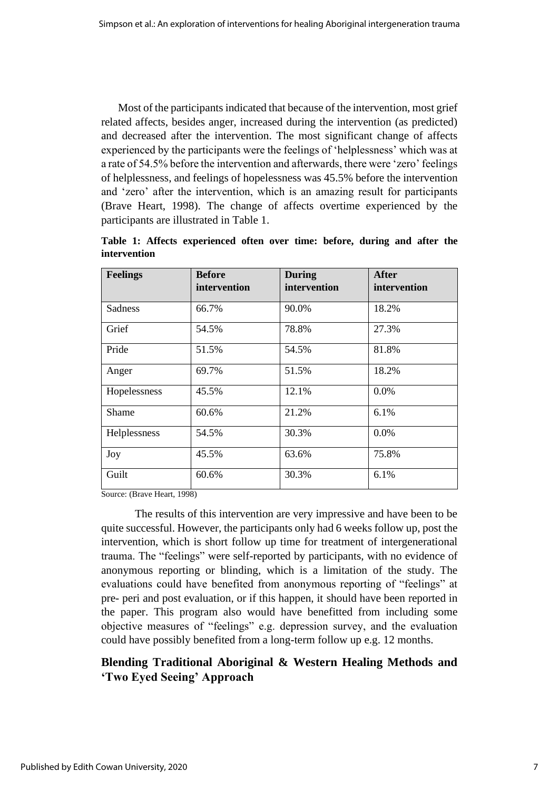Most of the participants indicated that because of the intervention, most grief related affects, besides anger, increased during the intervention (as predicted) and decreased after the intervention. The most significant change of affects experienced by the participants were the feelings of 'helplessness' which was at a rate of 54.5% before the intervention and afterwards, there were 'zero' feelings of helplessness, and feelings of hopelessness was 45.5% before the intervention and 'zero' after the intervention, which is an amazing result for participants (Brave Heart, 1998). The change of affects overtime experienced by the participants are illustrated in Table 1.

| <b>Feelings</b> | <b>Before</b><br>intervention | <b>During</b><br>intervention | <b>After</b><br>intervention |
|-----------------|-------------------------------|-------------------------------|------------------------------|
| Sadness         | 66.7%                         | 90.0%                         | 18.2%                        |
| Grief           | 54.5%                         | 78.8%                         | 27.3%                        |
| Pride           | 51.5%                         | 54.5%                         | 81.8%                        |
| Anger           | 69.7%                         | 51.5%                         | 18.2%                        |
| Hopelessness    | 45.5%                         | 12.1%                         | 0.0%                         |
| Shame           | 60.6%                         | 21.2%                         | 6.1%                         |
| Helplessness    | 54.5%                         | 30.3%                         | 0.0%                         |
| Joy             | 45.5%                         | 63.6%                         | 75.8%                        |
| Guilt           | 60.6%                         | 30.3%                         | 6.1%                         |

**Table 1: Affects experienced often over time: before, during and after the intervention** 

Source: (Brave Heart, 1998)

The results of this intervention are very impressive and have been to be quite successful. However, the participants only had 6 weeks follow up, post the intervention, which is short follow up time for treatment of intergenerational trauma. The "feelings" were self-reported by participants, with no evidence of anonymous reporting or blinding, which is a limitation of the study. The evaluations could have benefited from anonymous reporting of "feelings" at pre- peri and post evaluation, or if this happen, it should have been reported in the paper. This program also would have benefitted from including some objective measures of "feelings" e.g. depression survey, and the evaluation could have possibly benefited from a long-term follow up e.g. 12 months.

## **Blending Traditional Aboriginal & Western Healing Methods and 'Two Eyed Seeing' Approach**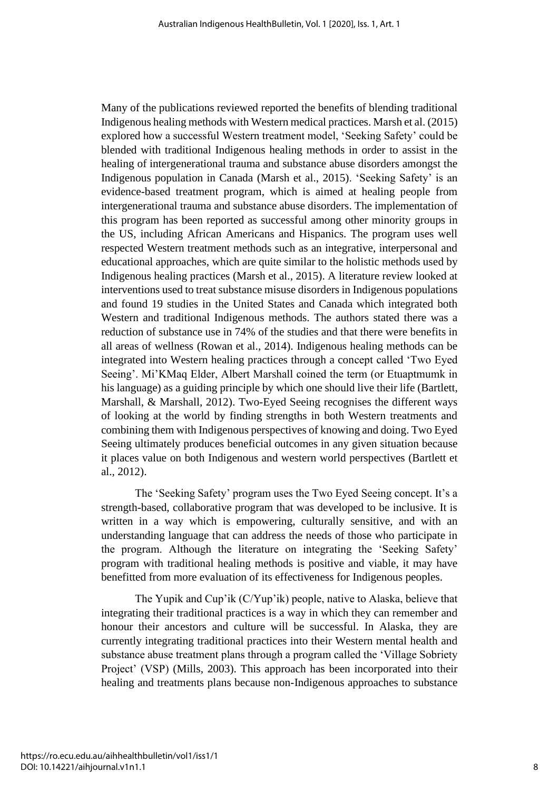Many of the publications reviewed reported the benefits of blending traditional Indigenous healing methods with Western medical practices. Marsh et al. (2015) explored how a successful Western treatment model, 'Seeking Safety' could be blended with traditional Indigenous healing methods in order to assist in the healing of intergenerational trauma and substance abuse disorders amongst the Indigenous population in Canada (Marsh et al., 2015). 'Seeking Safety' is an evidence-based treatment program, which is aimed at healing people from intergenerational trauma and substance abuse disorders. The implementation of this program has been reported as successful among other minority groups in the US, including African Americans and Hispanics. The program uses well respected Western treatment methods such as an integrative, interpersonal and educational approaches, which are quite similar to the holistic methods used by Indigenous healing practices (Marsh et al., 2015). A literature review looked at interventions used to treat substance misuse disorders in Indigenous populations and found 19 studies in the United States and Canada which integrated both Western and traditional Indigenous methods. The authors stated there was a reduction of substance use in 74% of the studies and that there were benefits in all areas of wellness (Rowan et al., 2014). Indigenous healing methods can be integrated into Western healing practices through a concept called 'Two Eyed Seeing'. Mi'KMaq Elder, Albert Marshall coined the term (or Etuaptmumk in his language) as a guiding principle by which one should live their life (Bartlett, Marshall, & Marshall, 2012). Two-Eyed Seeing recognises the different ways of looking at the world by finding strengths in both Western treatments and combining them with Indigenous perspectives of knowing and doing. Two Eyed Seeing ultimately produces beneficial outcomes in any given situation because it places value on both Indigenous and western world perspectives (Bartlett et al., 2012).

The 'Seeking Safety' program uses the Two Eyed Seeing concept. It's a strength-based, collaborative program that was developed to be inclusive. It is written in a way which is empowering, culturally sensitive, and with an understanding language that can address the needs of those who participate in the program. Although the literature on integrating the 'Seeking Safety' program with traditional healing methods is positive and viable, it may have benefitted from more evaluation of its effectiveness for Indigenous peoples.

The Yupik and Cup'ik (C/Yup'ik) people, native to Alaska, believe that integrating their traditional practices is a way in which they can remember and honour their ancestors and culture will be successful. In Alaska, they are currently integrating traditional practices into their Western mental health and substance abuse treatment plans through a program called the 'Village Sobriety Project' (VSP) (Mills, 2003). This approach has been incorporated into their healing and treatments plans because non-Indigenous approaches to substance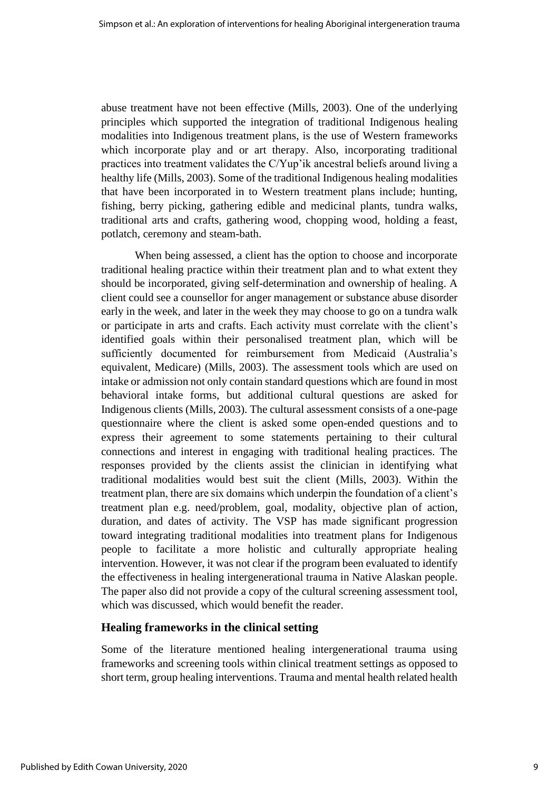abuse treatment have not been effective (Mills, 2003). One of the underlying principles which supported the integration of traditional Indigenous healing modalities into Indigenous treatment plans, is the use of Western frameworks which incorporate play and or art therapy. Also, incorporating traditional practices into treatment validates the C/Yup'ik ancestral beliefs around living a healthy life (Mills, 2003). Some of the traditional Indigenous healing modalities that have been incorporated in to Western treatment plans include; hunting, fishing, berry picking, gathering edible and medicinal plants, tundra walks, traditional arts and crafts, gathering wood, chopping wood, holding a feast, potlatch, ceremony and steam-bath.

When being assessed, a client has the option to choose and incorporate traditional healing practice within their treatment plan and to what extent they should be incorporated, giving self-determination and ownership of healing. A client could see a counsellor for anger management or substance abuse disorder early in the week, and later in the week they may choose to go on a tundra walk or participate in arts and crafts. Each activity must correlate with the client's identified goals within their personalised treatment plan, which will be sufficiently documented for reimbursement from Medicaid (Australia's equivalent, Medicare) (Mills, 2003). The assessment tools which are used on intake or admission not only contain standard questions which are found in most behavioral intake forms, but additional cultural questions are asked for Indigenous clients (Mills, 2003). The cultural assessment consists of a one-page questionnaire where the client is asked some open-ended questions and to express their agreement to some statements pertaining to their cultural connections and interest in engaging with traditional healing practices. The responses provided by the clients assist the clinician in identifying what traditional modalities would best suit the client (Mills, 2003). Within the treatment plan, there are six domains which underpin the foundation of a client's treatment plan e.g. need/problem, goal, modality, objective plan of action, duration, and dates of activity. The VSP has made significant progression toward integrating traditional modalities into treatment plans for Indigenous people to facilitate a more holistic and culturally appropriate healing intervention. However, it was not clear if the program been evaluated to identify the effectiveness in healing intergenerational trauma in Native Alaskan people. The paper also did not provide a copy of the cultural screening assessment tool, which was discussed, which would benefit the reader.

#### **Healing frameworks in the clinical setting**

Some of the literature mentioned healing intergenerational trauma using frameworks and screening tools within clinical treatment settings as opposed to short term, group healing interventions. Trauma and mental health related health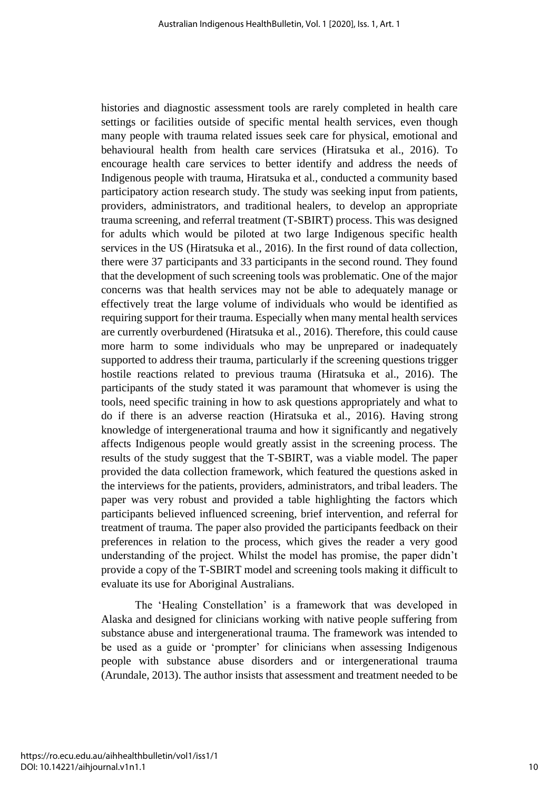histories and diagnostic assessment tools are rarely completed in health care settings or facilities outside of specific mental health services, even though many people with trauma related issues seek care for physical, emotional and behavioural health from health care services (Hiratsuka et al., 2016). To encourage health care services to better identify and address the needs of Indigenous people with trauma, Hiratsuka et al., conducted a community based participatory action research study. The study was seeking input from patients, providers, administrators, and traditional healers, to develop an appropriate trauma screening, and referral treatment (T-SBIRT) process. This was designed for adults which would be piloted at two large Indigenous specific health services in the US (Hiratsuka et al., 2016). In the first round of data collection, there were 37 participants and 33 participants in the second round. They found that the development of such screening tools was problematic. One of the major concerns was that health services may not be able to adequately manage or effectively treat the large volume of individuals who would be identified as requiring support for their trauma. Especially when many mental health services are currently overburdened (Hiratsuka et al., 2016). Therefore, this could cause more harm to some individuals who may be unprepared or inadequately supported to address their trauma, particularly if the screening questions trigger hostile reactions related to previous trauma (Hiratsuka et al., 2016). The participants of the study stated it was paramount that whomever is using the tools, need specific training in how to ask questions appropriately and what to do if there is an adverse reaction (Hiratsuka et al., 2016). Having strong knowledge of intergenerational trauma and how it significantly and negatively affects Indigenous people would greatly assist in the screening process. The results of the study suggest that the T-SBIRT, was a viable model. The paper provided the data collection framework, which featured the questions asked in the interviews for the patients, providers, administrators, and tribal leaders. The paper was very robust and provided a table highlighting the factors which participants believed influenced screening, brief intervention, and referral for treatment of trauma. The paper also provided the participants feedback on their preferences in relation to the process, which gives the reader a very good understanding of the project. Whilst the model has promise, the paper didn't provide a copy of the T-SBIRT model and screening tools making it difficult to evaluate its use for Aboriginal Australians.

The 'Healing Constellation' is a framework that was developed in Alaska and designed for clinicians working with native people suffering from substance abuse and intergenerational trauma. The framework was intended to be used as a guide or 'prompter' for clinicians when assessing Indigenous people with substance abuse disorders and or intergenerational trauma (Arundale, 2013). The author insists that assessment and treatment needed to be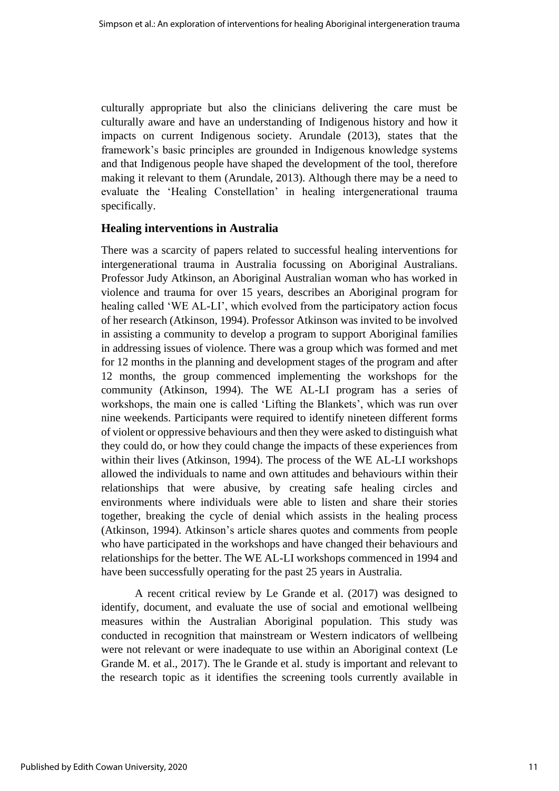culturally appropriate but also the clinicians delivering the care must be culturally aware and have an understanding of Indigenous history and how it impacts on current Indigenous society. Arundale (2013), states that the framework's basic principles are grounded in Indigenous knowledge systems and that Indigenous people have shaped the development of the tool, therefore making it relevant to them (Arundale, 2013). Although there may be a need to evaluate the 'Healing Constellation' in healing intergenerational trauma specifically.

#### **Healing interventions in Australia**

There was a scarcity of papers related to successful healing interventions for intergenerational trauma in Australia focussing on Aboriginal Australians. Professor Judy Atkinson, an Aboriginal Australian woman who has worked in violence and trauma for over 15 years, describes an Aboriginal program for healing called 'WE AL-LI', which evolved from the participatory action focus of her research (Atkinson, 1994). Professor Atkinson was invited to be involved in assisting a community to develop a program to support Aboriginal families in addressing issues of violence. There was a group which was formed and met for 12 months in the planning and development stages of the program and after 12 months, the group commenced implementing the workshops for the community (Atkinson, 1994). The WE AL-LI program has a series of workshops, the main one is called 'Lifting the Blankets', which was run over nine weekends. Participants were required to identify nineteen different forms of violent or oppressive behaviours and then they were asked to distinguish what they could do, or how they could change the impacts of these experiences from within their lives (Atkinson, 1994). The process of the WE AL-LI workshops allowed the individuals to name and own attitudes and behaviours within their relationships that were abusive, by creating safe healing circles and environments where individuals were able to listen and share their stories together, breaking the cycle of denial which assists in the healing process (Atkinson, 1994). Atkinson's article shares quotes and comments from people who have participated in the workshops and have changed their behaviours and relationships for the better. The WE AL-LI workshops commenced in 1994 and have been successfully operating for the past 25 years in Australia.

A recent critical review by Le Grande et al. (2017) was designed to identify, document, and evaluate the use of social and emotional wellbeing measures within the Australian Aboriginal population. This study was conducted in recognition that mainstream or Western indicators of wellbeing were not relevant or were inadequate to use within an Aboriginal context (Le Grande M. et al., 2017). The le Grande et al. study is important and relevant to the research topic as it identifies the screening tools currently available in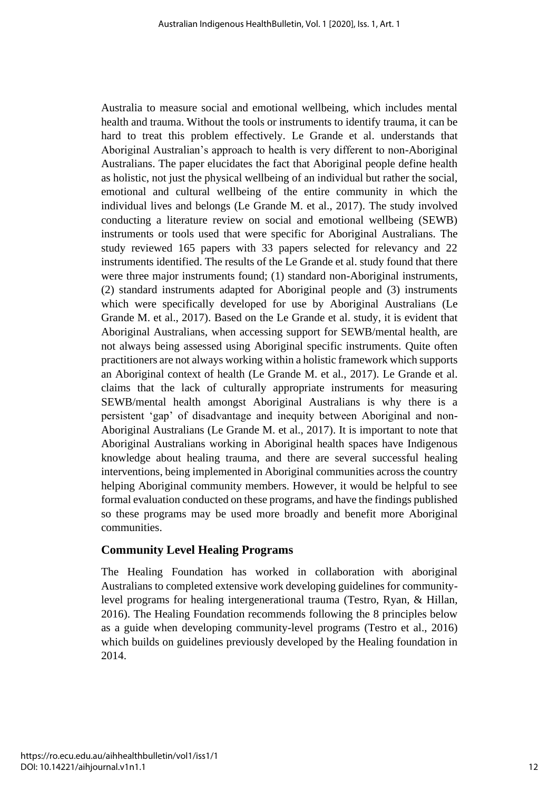Australia to measure social and emotional wellbeing, which includes mental health and trauma. Without the tools or instruments to identify trauma, it can be hard to treat this problem effectively. Le Grande et al. understands that Aboriginal Australian's approach to health is very different to non-Aboriginal Australians. The paper elucidates the fact that Aboriginal people define health as holistic, not just the physical wellbeing of an individual but rather the social, emotional and cultural wellbeing of the entire community in which the individual lives and belongs (Le Grande M. et al., 2017). The study involved conducting a literature review on social and emotional wellbeing (SEWB) instruments or tools used that were specific for Aboriginal Australians. The study reviewed 165 papers with 33 papers selected for relevancy and 22 instruments identified. The results of the Le Grande et al. study found that there were three major instruments found; (1) standard non-Aboriginal instruments, (2) standard instruments adapted for Aboriginal people and (3) instruments which were specifically developed for use by Aboriginal Australians (Le Grande M. et al., 2017). Based on the Le Grande et al. study, it is evident that Aboriginal Australians, when accessing support for SEWB/mental health, are not always being assessed using Aboriginal specific instruments. Quite often practitioners are not always working within a holistic framework which supports an Aboriginal context of health (Le Grande M. et al., 2017). Le Grande et al. claims that the lack of culturally appropriate instruments for measuring SEWB/mental health amongst Aboriginal Australians is why there is a persistent 'gap' of disadvantage and inequity between Aboriginal and non-Aboriginal Australians (Le Grande M. et al., 2017). It is important to note that Aboriginal Australians working in Aboriginal health spaces have Indigenous knowledge about healing trauma, and there are several successful healing interventions, being implemented in Aboriginal communities across the country helping Aboriginal community members. However, it would be helpful to see formal evaluation conducted on these programs, and have the findings published so these programs may be used more broadly and benefit more Aboriginal communities.

#### **Community Level Healing Programs**

The Healing Foundation has worked in collaboration with aboriginal Australians to completed extensive work developing guidelines for communitylevel programs for healing intergenerational trauma (Testro, Ryan, & Hillan, 2016). The Healing Foundation recommends following the 8 principles below as a guide when developing community-level programs (Testro et al., 2016) which builds on guidelines previously developed by the Healing foundation in 2014.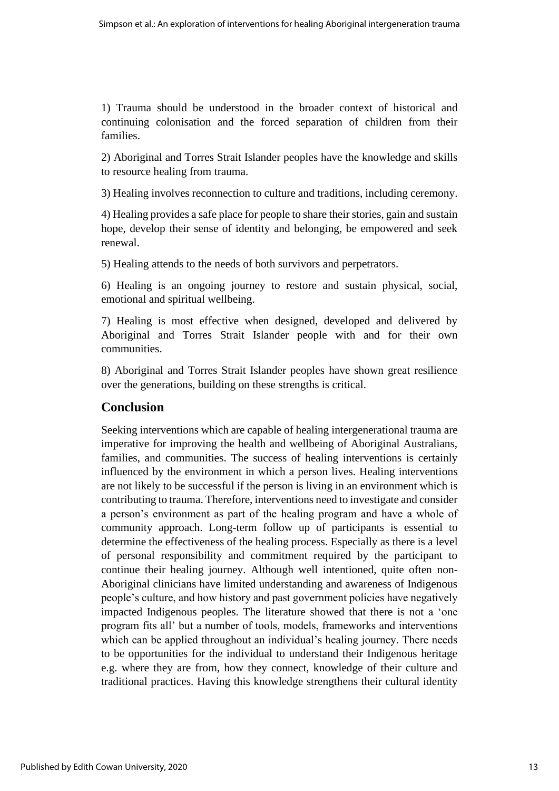1) Trauma should be understood in the broader context of historical and continuing colonisation and the forced separation of children from their families.

2) Aboriginal and Torres Strait Islander peoples have the knowledge and skills to resource healing from trauma.

3) Healing involves reconnection to culture and traditions, including ceremony.

4) Healing provides a safe place for people to share their stories, gain and sustain hope, develop their sense of identity and belonging, be empowered and seek renewal.

5) Healing attends to the needs of both survivors and perpetrators.

6) Healing is an ongoing journey to restore and sustain physical, social, emotional and spiritual wellbeing.

7) Healing is most effective when designed, developed and delivered by Aboriginal and Torres Strait Islander people with and for their own communities.

8) Aboriginal and Torres Strait Islander peoples have shown great resilience over the generations, building on these strengths is critical.

### **Conclusion**

Seeking interventions which are capable of healing intergenerational trauma are imperative for improving the health and wellbeing of Aboriginal Australians, families, and communities. The success of healing interventions is certainly influenced by the environment in which a person lives. Healing interventions are not likely to be successful if the person is living in an environment which is contributing to trauma. Therefore, interventions need to investigate and consider a person's environment as part of the healing program and have a whole of community approach. Long-term follow up of participants is essential to determine the effectiveness of the healing process. Especially as there is a level of personal responsibility and commitment required by the participant to continue their healing journey. Although well intentioned, quite often non-Aboriginal clinicians have limited understanding and awareness of Indigenous people's culture, and how history and past government policies have negatively impacted Indigenous peoples. The literature showed that there is not a 'one program fits all' but a number of tools, models, frameworks and interventions which can be applied throughout an individual's healing journey. There needs to be opportunities for the individual to understand their Indigenous heritage e.g. where they are from, how they connect, knowledge of their culture and traditional practices. Having this knowledge strengthens their cultural identity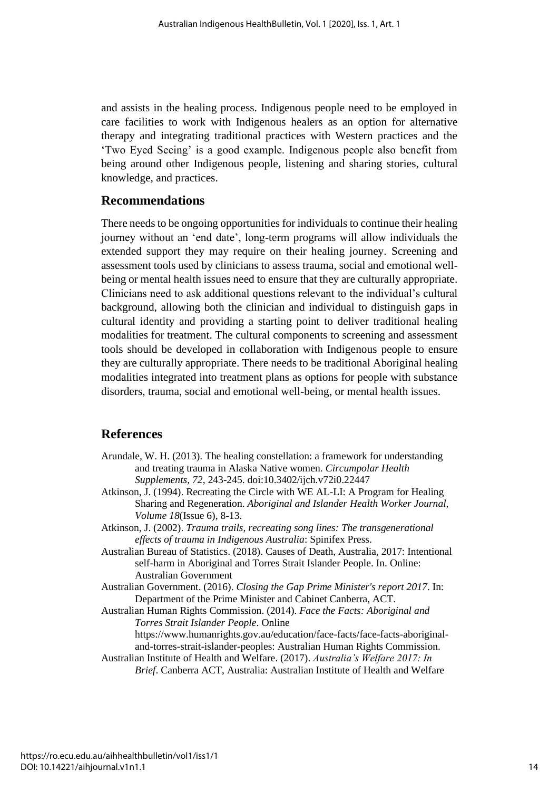and assists in the healing process. Indigenous people need to be employed in care facilities to work with Indigenous healers as an option for alternative therapy and integrating traditional practices with Western practices and the 'Two Eyed Seeing' is a good example. Indigenous people also benefit from being around other Indigenous people, listening and sharing stories, cultural knowledge, and practices.

#### **Recommendations**

There needs to be ongoing opportunities for individuals to continue their healing journey without an 'end date', long-term programs will allow individuals the extended support they may require on their healing journey. Screening and assessment tools used by clinicians to assess trauma, social and emotional wellbeing or mental health issues need to ensure that they are culturally appropriate. Clinicians need to ask additional questions relevant to the individual's cultural background, allowing both the clinician and individual to distinguish gaps in cultural identity and providing a starting point to deliver traditional healing modalities for treatment. The cultural components to screening and assessment tools should be developed in collaboration with Indigenous people to ensure they are culturally appropriate. There needs to be traditional Aboriginal healing modalities integrated into treatment plans as options for people with substance disorders, trauma, social and emotional well-being, or mental health issues.

#### **References**

- Arundale, W. H. (2013). The healing constellation: a framework for understanding and treating trauma in Alaska Native women. *Circumpolar Health Supplements, 72*, 243-245. doi:10.3402/ijch.v72i0.22447
- Atkinson, J. (1994). Recreating the Circle with WE AL-LI: A Program for Healing Sharing and Regeneration. *Aboriginal and Islander Health Worker Journal, Volume 18*(Issue 6), 8-13.
- Atkinson, J. (2002). *Trauma trails, recreating song lines: The transgenerational effects of trauma in Indigenous Australia*: Spinifex Press.
- Australian Bureau of Statistics. (2018). Causes of Death, Australia, 2017: Intentional self-harm in Aboriginal and Torres Strait Islander People. In. Online: Australian Government
- Australian Government. (2016). *Closing the Gap Prime Minister's report 2017*. In: Department of the Prime Minister and Cabinet Canberra, ACT.
- Australian Human Rights Commission. (2014). *Face the Facts: Aboriginal and Torres Strait Islander People*. Online

https://www.humanrights.gov.au/education/face-facts/face-facts-aboriginaland-torres-strait-islander-peoples: Australian Human Rights Commission.

Australian Institute of Health and Welfare. (2017). *Australia's Welfare 2017: In Brief*. Canberra ACT, Australia: Australian Institute of Health and Welfare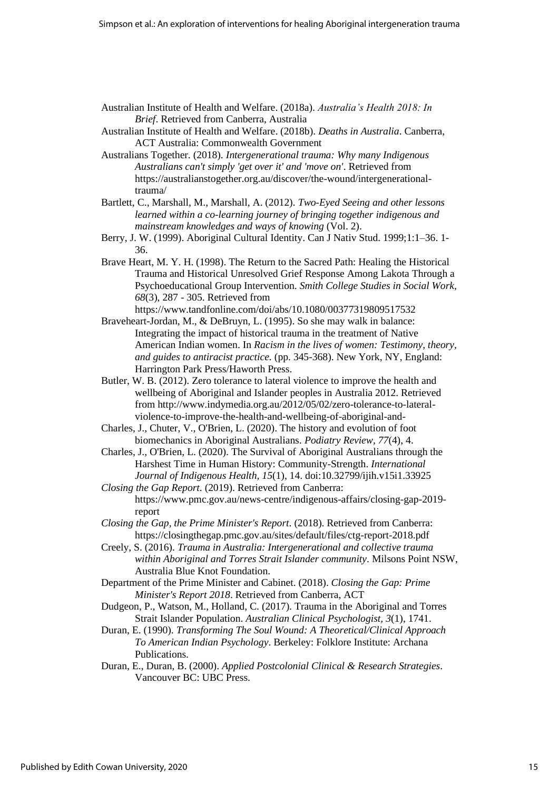- Australian Institute of Health and Welfare. (2018a). *Australia's Health 2018: In Brief*. Retrieved from Canberra, Australia
- Australian Institute of Health and Welfare. (2018b). *Deaths in Australia*. Canberra, ACT Australia: Commonwealth Government
- Australians Together. (2018). *Intergenerational trauma: Why many Indigenous Australians can't simply 'get over it' and 'move on'*. Retrieved from https://australianstogether.org.au/discover/the-wound/intergenerationaltrauma/
- Bartlett, C., Marshall, M., Marshall, A. (2012). *Two-Eyed Seeing and other lessons learned within a co-learning journey of bringing together indigenous and mainstream knowledges and ways of knowing* (Vol. 2).
- Berry, J. W. (1999). Aboriginal Cultural Identity. Can J Nativ Stud. 1999;1:1–36. 1- 36.
- Brave Heart, M. Y. H. (1998). The Return to the Sacred Path: Healing the Historical Trauma and Historical Unresolved Grief Response Among Lakota Through a Psychoeducational Group Intervention. *Smith College Studies in Social Work, 68*(3), 287 - 305. Retrieved from

https://www.tandfonline.com/doi/abs/10.1080/00377319809517532

- Braveheart-Jordan, M., & DeBruyn, L. (1995). So she may walk in balance: Integrating the impact of historical trauma in the treatment of Native American Indian women. In *Racism in the lives of women: Testimony, theory, and guides to antiracist practice.* (pp. 345-368). New York, NY, England: Harrington Park Press/Haworth Press.
- Butler, W. B. (2012). Zero tolerance to lateral violence to improve the health and wellbeing of Aboriginal and Islander peoples in Australia 2012. Retrieved from http://www.indymedia.org.au/2012/05/02/zero-tolerance-to-lateralviolence-to-improve-the-health-and-wellbeing-of-aboriginal-and-
- Charles, J., Chuter, V., O'Brien, L. (2020). The history and evolution of foot biomechanics in Aboriginal Australians. *Podiatry Review, 77*(4), 4.
- Charles, J., O'Brien, L. (2020). The Survival of Aboriginal Australians through the Harshest Time in Human History: Community-Strength. *International Journal of Indigenous Health, 15*(1), 14. doi:10.32799/ijih.v15i1.33925
- *Closing the Gap Report*. (2019). Retrieved from Canberra: https://www.pmc.gov.au/news-centre/indigenous-affairs/closing-gap-2019 report
- *Closing the Gap, the Prime Minister's Report*. (2018). Retrieved from Canberra: https://closingthegap.pmc.gov.au/sites/default/files/ctg-report-2018.pdf
- Creely, S. (2016). *Trauma in Australia: Intergenerational and collective trauma within Aboriginal and Torres Strait Islander community*. Milsons Point NSW, Australia Blue Knot Foundation.
- Department of the Prime Minister and Cabinet. (2018). *Closing the Gap: Prime Minister's Report 2018*. Retrieved from Canberra, ACT
- Dudgeon, P., Watson, M., Holland, C. (2017). Trauma in the Aboriginal and Torres Strait Islander Population. *Australian Clinical Psychologist, 3*(1), 1741.
- Duran, E. (1990). *Transforming The Soul Wound: A Theoretical/Clinical Approach To American Indian Psychology*. Berkeley: Folklore Institute: Archana Publications.
- Duran, E., Duran, B. (2000). *Applied Postcolonial Clinical & Research Strategies*. Vancouver BC: UBC Press.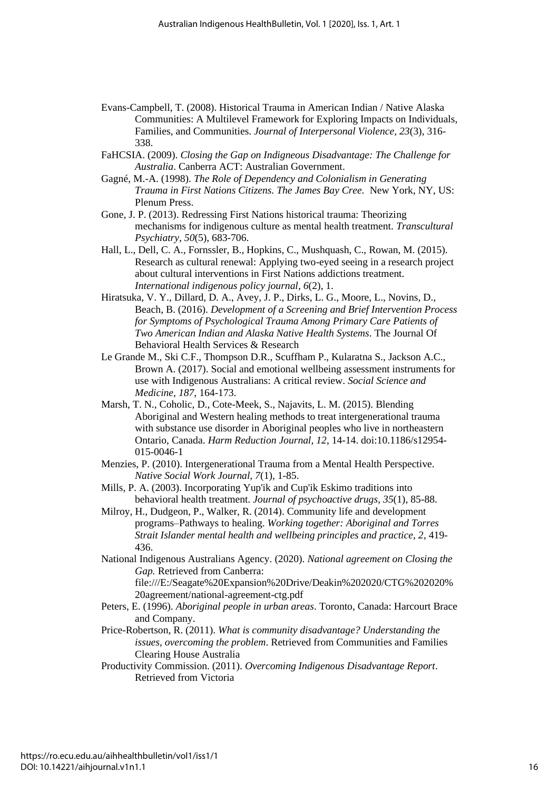- Evans-Campbell, T. (2008). Historical Trauma in American Indian / Native Alaska Communities: A Multilevel Framework for Exploring Impacts on Individuals, Families, and Communities. *Journal of Interpersonal Violence, 23*(3), 316- 338.
- FaHCSIA. (2009). *Closing the Gap on Indigneous Disadvantage: The Challenge for Australia*. Canberra ACT: Australian Government.
- Gagné, M.-A. (1998). *The Role of Dependency and Colonialism in Generating Trauma in First Nations Citizens. The James Bay Cree.* New York, NY, US: Plenum Press.
- Gone, J. P. (2013). Redressing First Nations historical trauma: Theorizing mechanisms for indigenous culture as mental health treatment. *Transcultural Psychiatry, 50*(5), 683-706.
- Hall, L., Dell, C. A., Fornssler, B., Hopkins, C., Mushquash, C., Rowan, M. (2015). Research as cultural renewal: Applying two-eyed seeing in a research project about cultural interventions in First Nations addictions treatment. *International indigenous policy journal, 6*(2), 1.
- Hiratsuka, V. Y., Dillard, D. A., Avey, J. P., Dirks, L. G., Moore, L., Novins, D., Beach, B. (2016). *Development of a Screening and Brief Intervention Process for Symptoms of Psychological Trauma Among Primary Care Patients of Two American Indian and Alaska Native Health Systems*. The Journal Of Behavioral Health Services & Research
- Le Grande M., Ski C.F., Thompson D.R., Scuffham P., Kularatna S., Jackson A.C., Brown A. (2017). Social and emotional wellbeing assessment instruments for use with Indigenous Australians: A critical review. *Social Science and Medicine, 187*, 164-173.
- Marsh, T. N., Coholic, D., Cote-Meek, S., Najavits, L. M. (2015). Blending Aboriginal and Western healing methods to treat intergenerational trauma with substance use disorder in Aboriginal peoples who live in northeastern Ontario, Canada. *Harm Reduction Journal, 12*, 14-14. doi:10.1186/s12954- 015-0046-1
- Menzies, P. (2010). Intergenerational Trauma from a Mental Health Perspective. *Native Social Work Journal, 7*(1), 1-85.
- Mills, P. A. (2003). Incorporating Yup'ik and Cup'ik Eskimo traditions into behavioral health treatment. *Journal of psychoactive drugs, 35*(1), 85-88.
- Milroy, H., Dudgeon, P., Walker, R. (2014). Community life and development programs–Pathways to healing. *Working together: Aboriginal and Torres Strait Islander mental health and wellbeing principles and practice, 2*, 419- 436.
- National Indigenous Australians Agency. (2020). *National agreement on Closing the Gap.* Retrieved from Canberra: file:///E:/Seagate%20Expansion%20Drive/Deakin%202020/CTG%202020%
- 20agreement/national-agreement-ctg.pdf Peters, E. (1996). *Aboriginal people in urban areas*. Toronto, Canada: Harcourt Brace and Company.
- Price-Robertson, R. (2011). *What is community disadvantage? Understanding the issues, overcoming the problem*. Retrieved from Communities and Families Clearing House Australia
- Productivity Commission. (2011). *Overcoming Indigenous Disadvantage Report*. Retrieved from Victoria